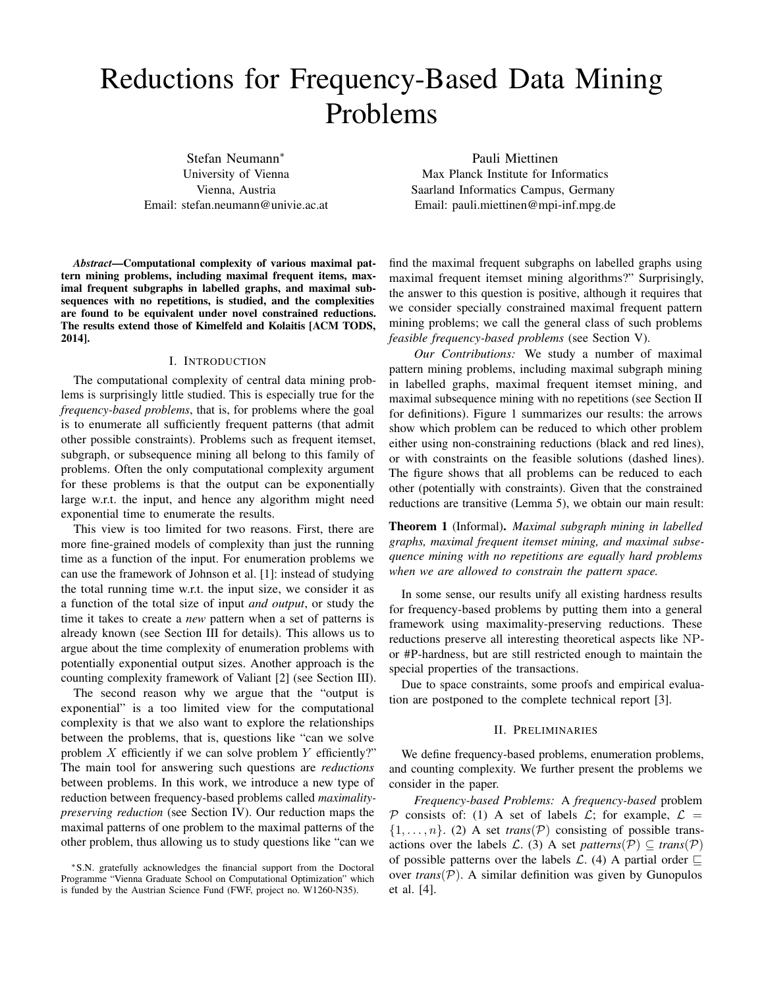# Reductions for Frequency-Based Data Mining Problems

Stefan Neumann<sup>∗</sup> University of Vienna Vienna, Austria Email: stefan.neumann@univie.ac.at

Pauli Miettinen Max Planck Institute for Informatics Saarland Informatics Campus, Germany Email: pauli.miettinen@mpi-inf.mpg.de

*Abstract*—Computational complexity of various maximal pattern mining problems, including maximal frequent items, maximal frequent subgraphs in labelled graphs, and maximal subsequences with no repetitions, is studied, and the complexities are found to be equivalent under novel constrained reductions. The results extend those of Kimelfeld and Kolaitis [ACM TODS, 2014].

#### I. INTRODUCTION

The computational complexity of central data mining problems is surprisingly little studied. This is especially true for the *frequency-based problems*, that is, for problems where the goal is to enumerate all sufficiently frequent patterns (that admit other possible constraints). Problems such as frequent itemset, subgraph, or subsequence mining all belong to this family of problems. Often the only computational complexity argument for these problems is that the output can be exponentially large w.r.t. the input, and hence any algorithm might need exponential time to enumerate the results.

This view is too limited for two reasons. First, there are more fine-grained models of complexity than just the running time as a function of the input. For enumeration problems we can use the framework of Johnson et al. [1]: instead of studying the total running time w.r.t. the input size, we consider it as a function of the total size of input *and output*, or study the time it takes to create a *new* pattern when a set of patterns is already known (see Section III for details). This allows us to argue about the time complexity of enumeration problems with potentially exponential output sizes. Another approach is the counting complexity framework of Valiant [2] (see Section III).

The second reason why we argue that the "output is exponential" is a too limited view for the computational complexity is that we also want to explore the relationships between the problems, that is, questions like "can we solve problem  $X$  efficiently if we can solve problem  $Y$  efficiently?" The main tool for answering such questions are *reductions* between problems. In this work, we introduce a new type of reduction between frequency-based problems called *maximalitypreserving reduction* (see Section IV). Our reduction maps the maximal patterns of one problem to the maximal patterns of the other problem, thus allowing us to study questions like "can we

<sup>∗</sup>S.N. gratefully acknowledges the financial support from the Doctoral Programme "Vienna Graduate School on Computational Optimization" which is funded by the Austrian Science Fund (FWF, project no. W1260-N35).

find the maximal frequent subgraphs on labelled graphs using maximal frequent itemset mining algorithms?" Surprisingly, the answer to this question is positive, although it requires that we consider specially constrained maximal frequent pattern mining problems; we call the general class of such problems *feasible frequency-based problems* (see Section V).

*Our Contributions:* We study a number of maximal pattern mining problems, including maximal subgraph mining in labelled graphs, maximal frequent itemset mining, and maximal subsequence mining with no repetitions (see Section II for definitions). Figure 1 summarizes our results: the arrows show which problem can be reduced to which other problem either using non-constraining reductions (black and red lines), or with constraints on the feasible solutions (dashed lines). The figure shows that all problems can be reduced to each other (potentially with constraints). Given that the constrained reductions are transitive (Lemma 5), we obtain our main result:

Theorem 1 (Informal). *Maximal subgraph mining in labelled graphs, maximal frequent itemset mining, and maximal subsequence mining with no repetitions are equally hard problems when we are allowed to constrain the pattern space.*

In some sense, our results unify all existing hardness results for frequency-based problems by putting them into a general framework using maximality-preserving reductions. These reductions preserve all interesting theoretical aspects like NPor #P-hardness, but are still restricted enough to maintain the special properties of the transactions.

Due to space constraints, some proofs and empirical evaluation are postponed to the complete technical report [3].

#### II. PRELIMINARIES

We define frequency-based problems, enumeration problems, and counting complexity. We further present the problems we consider in the paper.

*Frequency-based Problems:* A *frequency-based* problem P consists of: (1) A set of labels  $\mathcal{L}$ ; for example,  $\mathcal{L} =$  $\{1, \ldots, n\}$ . (2) A set *trans*( $P$ ) consisting of possible transactions over the labels L. (3) A set *patterns*( $P$ )  $\subseteq$  *trans*( $P$ ) of possible patterns over the labels  $\mathcal{L}$ . (4) A partial order  $\Box$ over  $trans(\mathcal{P})$ . A similar definition was given by Gunopulos et al. [4].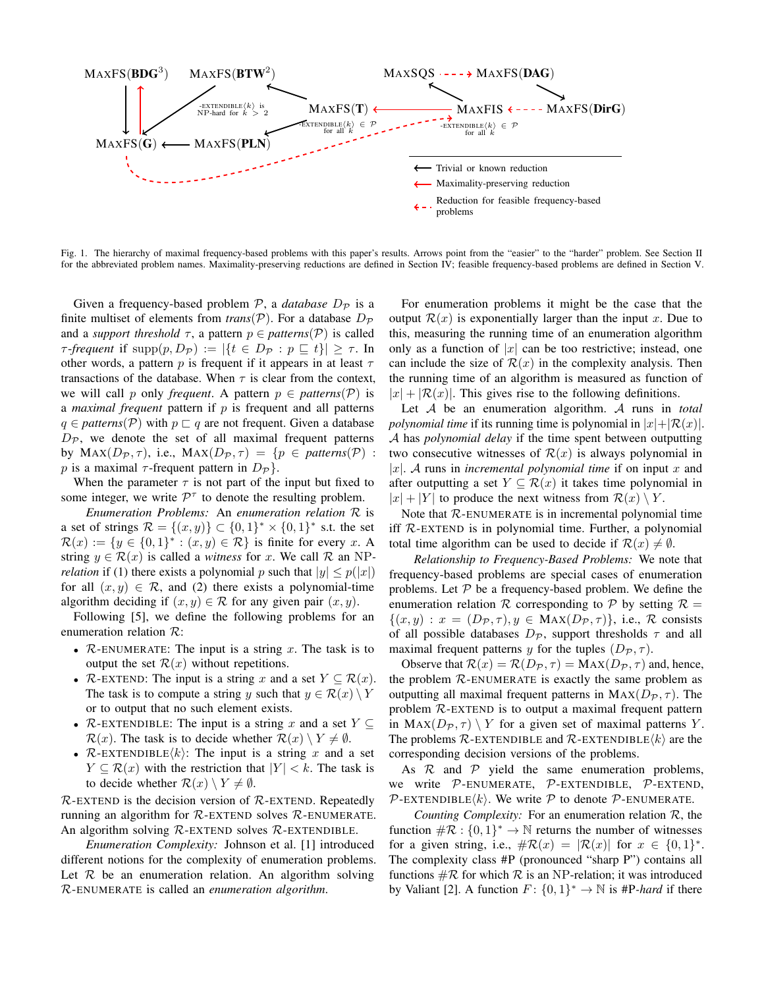

Fig. 1. The hierarchy of maximal frequency-based problems with this paper's results. Arrows point from the "easier" to the "harder" problem. See Section II for the abbreviated problem names. Maximality-preserving reductions are defined in Section IV; feasible frequency-based problems are defined in Section V.

Given a frequency-based problem  $P$ , a *database*  $D_P$  is a finite multiset of elements from *trans*( $\mathcal{P}$ ). For a database  $D_{\mathcal{P}}$ and a *support threshold*  $\tau$ , a pattern  $p \in patterns(\mathcal{P})$  is called *τ*-*frequent* if supp $(p, D_{\mathcal{P}}) := |\{t \in D_{\mathcal{P}} : p \subseteq t\}| \geq \tau$ . In other words, a pattern p is frequent if it appears in at least  $\tau$ transactions of the database. When  $\tau$  is clear from the context, we will call p only *frequent*. A pattern  $p \in patterns(\mathcal{P})$  is a *maximal frequent* pattern if p is frequent and all patterns  $q \in patterns(\mathcal{P})$  with  $p \sqsubset q$  are not frequent. Given a database  $D_{\mathcal{P}}$ , we denote the set of all maximal frequent patterns by  $MAX(D_{\mathcal{P}}, \tau)$ , i.e.,  $MAX(D_{\mathcal{P}}, \tau) = \{p \in patterns(\mathcal{P}) :$ p is a maximal  $\tau$ -frequent pattern in  $D_{\mathcal{P}}$ .

When the parameter  $\tau$  is not part of the input but fixed to some integer, we write  $\mathcal{P}^{\tau}$  to denote the resulting problem.

*Enumeration Problems:* An *enumeration relation* R is a set of strings  $\mathcal{R} = \{(x, y)\} \subset \{0, 1\}^* \times \{0, 1\}^*$  s.t. the set  $\mathcal{R}(x) := \{y \in \{0,1\}^* : (x,y) \in \mathcal{R}\}\$ is finite for every x. A string  $y \in \mathcal{R}(x)$  is called a *witness* for x. We call  $\mathcal{R}$  an NP*relation* if (1) there exists a polynomial p such that  $|y| \leq p(|x|)$ for all  $(x, y) \in \mathcal{R}$ , and (2) there exists a polynomial-time algorithm deciding if  $(x, y) \in \mathcal{R}$  for any given pair  $(x, y)$ .

Following [5], we define the following problems for an enumeration relation  $\mathcal{R}$ :

- $\mathcal{R}$ -ENUMERATE: The input is a string x. The task is to output the set  $\mathcal{R}(x)$  without repetitions.
- R-EXTEND: The input is a string x and a set  $Y \subseteq \mathcal{R}(x)$ . The task is to compute a string y such that  $y \in \mathcal{R}(x) \setminus Y$ or to output that no such element exists.
- R-EXTENDIBLE: The input is a string x and a set  $Y \subseteq$  $\mathcal{R}(x)$ . The task is to decide whether  $\mathcal{R}(x) \setminus Y \neq \emptyset$ .
- R-EXTENDIBLE $\langle k \rangle$ : The input is a string x and a set  $Y \subseteq \mathcal{R}(x)$  with the restriction that  $|Y| < k$ . The task is to decide whether  $\mathcal{R}(x) \setminus Y \neq \emptyset$ .

 $R$ -EXTEND is the decision version of  $R$ -EXTEND. Repeatedly running an algorithm for  $R$ -EXTEND solves  $R$ -ENUMERATE. An algorithm solving  $\mathcal{R}$ -EXTEND solves  $\mathcal{R}$ -EXTENDIBLE.

*Enumeration Complexity:* Johnson et al. [1] introduced different notions for the complexity of enumeration problems. Let  $R$  be an enumeration relation. An algorithm solving R-ENUMERATE is called an *enumeration algorithm*.

For enumeration problems it might be the case that the output  $\mathcal{R}(x)$  is exponentially larger than the input x. Due to this, measuring the running time of an enumeration algorithm only as a function of  $|x|$  can be too restrictive; instead, one can include the size of  $\mathcal{R}(x)$  in the complexity analysis. Then the running time of an algorithm is measured as function of  $|x| + |\mathcal{R}(x)|$ . This gives rise to the following definitions.

Let A be an enumeration algorithm. A runs in *total polynomial time* if its running time is polynomial in  $|x|+|\mathcal{R}(x)|$ . A has *polynomial delay* if the time spent between outputting two consecutive witnesses of  $\mathcal{R}(x)$  is always polynomial in  $|x|$ . A runs in *incremental polynomial time* if on input x and after outputting a set  $Y \subseteq \mathcal{R}(x)$  it takes time polynomial in  $|x| + |Y|$  to produce the next witness from  $\mathcal{R}(x) \setminus Y$ .

Note that  $R$ -ENUMERATE is in incremental polynomial time iff  $R$ -EXTEND is in polynomial time. Further, a polynomial total time algorithm can be used to decide if  $\mathcal{R}(x) \neq \emptyset$ .

*Relationship to Frequency-Based Problems:* We note that frequency-based problems are special cases of enumeration problems. Let  $P$  be a frequency-based problem. We define the enumeration relation R corresponding to P by setting  $\mathcal{R} =$  $\{(x,y): x = (D_{\mathcal{P}}, \tau), y \in \text{MAX}(D_{\mathcal{P}}, \tau)\}\)$ , i.e., R consists of all possible databases  $D_{\mathcal{P}}$ , support thresholds  $\tau$  and all maximal frequent patterns y for the tuples  $(D_{\mathcal{P}}, \tau)$ .

Observe that  $\mathcal{R}(x) = \mathcal{R}(D_{\mathcal{P}}, \tau) = \text{MAX}(D_{\mathcal{P}}, \tau)$  and, hence, the problem  $R$ -ENUMERATE is exactly the same problem as outputting all maximal frequent patterns in  $MAX(D_{\mathcal{P}}, \tau)$ . The problem  $R$ -EXTEND is to output a maximal frequent pattern in  $\text{MAX}(D_{\mathcal{P}}, \tau) \setminus Y$  for a given set of maximal patterns Y. The problems R-EXTENDIBLE and R-EXTENDIBLE $\langle k \rangle$  are the corresponding decision versions of the problems.

As  $R$  and  $P$  yield the same enumeration problems, we write P-ENUMERATE, P-EXTENDIBLE, P-EXTEND,  $P$ -EXTENDIBLE $\langle k \rangle$ . We write P to denote P-ENUMERATE.

*Counting Complexity:* For an enumeration relation R, the function  $\#\mathcal{R}: \{0,1\}^* \to \mathbb{N}$  returns the number of witnesses for a given string, i.e.,  $\#\mathcal{R}(x) = |\mathcal{R}(x)|$  for  $x \in \{0,1\}^*$ . The complexity class #P (pronounced "sharp P") contains all functions  $\#\mathcal{R}$  for which  $\mathcal R$  is an NP-relation; it was introduced by Valiant [2]. A function  $F: \{0, 1\}^* \to \mathbb{N}$  is #P-*hard* if there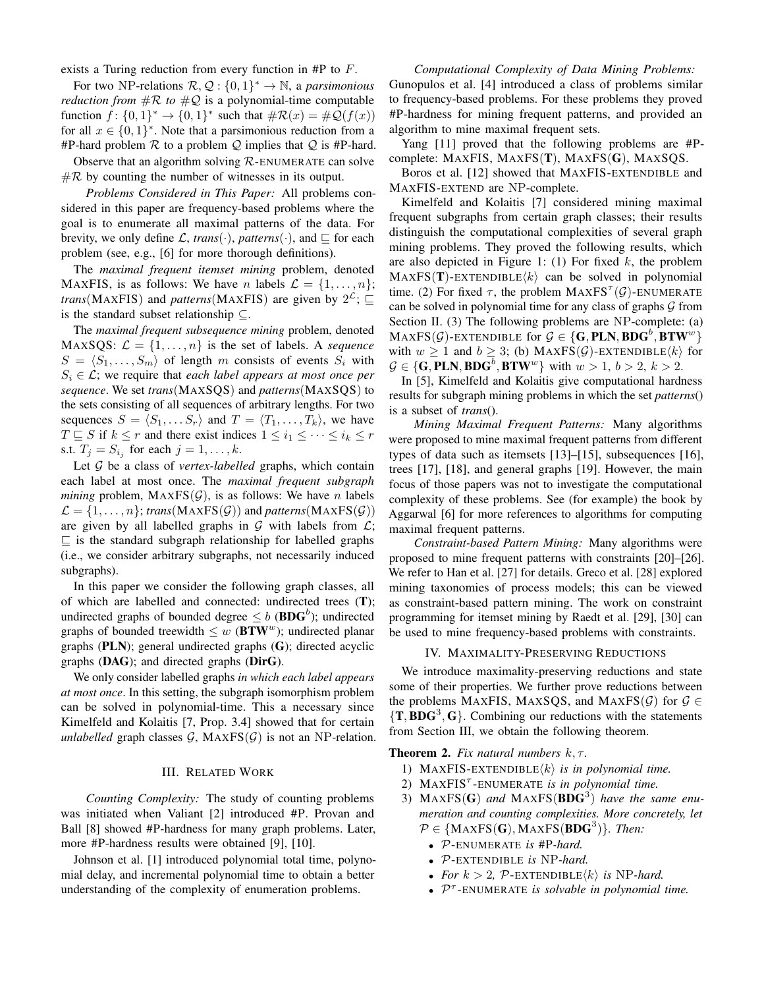exists a Turing reduction from every function in #P to F.

For two NP-relations  $\mathcal{R}, \mathcal{Q} : \{0, 1\}^* \to \mathbb{N}$ , a *parsimonious reduction from*  $\#\mathcal{R}$  *to*  $\#\mathcal{Q}$  *is a polynomial-time computable* function  $f: \{0,1\}^* \to \{0,1\}^*$  such that  $\#\mathcal{R}(x) = \#\mathcal{Q}(f(x))$ for all  $x \in \{0,1\}^*$ . Note that a parsimonious reduction from a #P-hard problem  $R$  to a problem  $Q$  implies that  $Q$  is #P-hard.

Observe that an algorithm solving  $\mathcal{R}$ -ENUMERATE can solve  $\#\mathcal{R}$  by counting the number of witnesses in its output.

*Problems Considered in This Paper:* All problems considered in this paper are frequency-based problems where the goal is to enumerate all maximal patterns of the data. For brevity, we only define  $\mathcal{L}$ , *trans*( $\cdot$ ), *patterns*( $\cdot$ ), and  $\sqsubseteq$  for each problem (see, e.g., [6] for more thorough definitions).

The *maximal frequent itemset mining* problem, denoted MAXFIS, is as follows: We have *n* labels  $\mathcal{L} = \{1, \ldots, n\};$ *trans*(MAXFIS) and *patterns*(MAXFIS) are given by  $2^{\mathcal{L}}$ ;  $\subseteq$ is the standard subset relationship ⊆.

The *maximal frequent subsequence mining* problem, denoted MAXSQS:  $\mathcal{L} = \{1, \ldots, n\}$  is the set of labels. A *sequence*  $S = \langle S_1, \ldots, S_m \rangle$  of length m consists of events  $S_i$  with  $S_i \in \mathcal{L}$ ; we require that *each label appears at most once per sequence*. We set *trans*(MAXSQS) and *patterns*(MAXSQS) to the sets consisting of all sequences of arbitrary lengths. For two sequences  $S = \langle S_1, \ldots S_r \rangle$  and  $T = \langle T_1, \ldots, T_k \rangle$ , we have  $T \sqsubseteq S$  if  $k \leq r$  and there exist indices  $1 \leq i_1 \leq \cdots \leq i_k \leq r$ s.t.  $T_j = S_{i_j}$  for each  $j = 1, \ldots, k$ .

Let G be a class of *vertex-labelled* graphs, which contain each label at most once. The *maximal frequent subgraph mining* problem,  $MAXFS(\mathcal{G})$ , is as follows: We have *n* labels  $\mathcal{L} = \{1, \ldots, n\}$ ; *trans*(MAXFS(G)) and *patterns*(MAXFS(G)) are given by all labelled graphs in  $G$  with labels from  $\mathcal{L}$ ;  $\Box$  is the standard subgraph relationship for labelled graphs (i.e., we consider arbitrary subgraphs, not necessarily induced subgraphs).

In this paper we consider the following graph classes, all of which are labelled and connected: undirected trees (T); undirected graphs of bounded degree  $\leq b$  (BDG<sup>b</sup>); undirected graphs of bounded treewidth  $\leq w$  (BTW<sup>w</sup>); undirected planar graphs (PLN); general undirected graphs (G); directed acyclic graphs (DAG); and directed graphs (DirG).

We only consider labelled graphs *in which each label appears at most once*. In this setting, the subgraph isomorphism problem can be solved in polynomial-time. This a necessary since Kimelfeld and Kolaitis [7, Prop. 3.4] showed that for certain *unlabelled* graph classes  $G$ ,  $MAXFS(G)$  is not an NP-relation.

## III. RELATED WORK

*Counting Complexity:* The study of counting problems was initiated when Valiant [2] introduced #P. Provan and Ball [8] showed #P-hardness for many graph problems. Later, more #P-hardness results were obtained [9], [10].

Johnson et al. [1] introduced polynomial total time, polynomial delay, and incremental polynomial time to obtain a better understanding of the complexity of enumeration problems.

*Computational Complexity of Data Mining Problems:* Gunopulos et al. [4] introduced a class of problems similar to frequency-based problems. For these problems they proved #P-hardness for mining frequent patterns, and provided an algorithm to mine maximal frequent sets.

Yang [11] proved that the following problems are #Pcomplete: MAXFIS, MAXFS(T), MAXFS(G), MAXSQS.

Boros et al. [12] showed that MAXFIS-EXTENDIBLE and MAXFIS-EXTEND are NP-complete.

Kimelfeld and Kolaitis [7] considered mining maximal frequent subgraphs from certain graph classes; their results distinguish the computational complexities of several graph mining problems. They proved the following results, which are also depicted in Figure 1: (1) For fixed  $k$ , the problem  $MAXFS(T)$ -EXTENDIBLE $\langle k \rangle$  can be solved in polynomial time. (2) For fixed  $\tau$ , the problem  $MAXFS^{\tau}(G)$ -ENUMERATE can be solved in polynomial time for any class of graphs  $\mathcal G$  from Section II. (3) The following problems are NP-complete: (a)  $\text{MAXFS}(\mathcal{G})$ -extendible for  $\mathcal{G} \in \{\textbf{G}, \textbf{PLN}, \textbf{BDG}^b, \textbf{BTW}^w\}$ with  $w > 1$  and  $b > 3$ ; (b) MAXFS(G)-EXTENDIBLE $\langle k \rangle$  for  $\mathcal{G} \in \{\mathbf{G}, \mathbf{PLN}, \mathbf{BDG}^b, \mathbf{BTW}^w\}$  with  $w > 1, b > 2, k > 2$ .

In [5], Kimelfeld and Kolaitis give computational hardness results for subgraph mining problems in which the set *patterns*() is a subset of *trans*().

*Mining Maximal Frequent Patterns:* Many algorithms were proposed to mine maximal frequent patterns from different types of data such as itemsets [13]–[15], subsequences [16], trees [17], [18], and general graphs [19]. However, the main focus of those papers was not to investigate the computational complexity of these problems. See (for example) the book by Aggarwal [6] for more references to algorithms for computing maximal frequent patterns.

*Constraint-based Pattern Mining:* Many algorithms were proposed to mine frequent patterns with constraints [20]–[26]. We refer to Han et al. [27] for details. Greco et al. [28] explored mining taxonomies of process models; this can be viewed as constraint-based pattern mining. The work on constraint programming for itemset mining by Raedt et al. [29], [30] can be used to mine frequency-based problems with constraints.

## IV. MAXIMALITY-PRESERVING REDUCTIONS

We introduce maximality-preserving reductions and state some of their properties. We further prove reductions between the problems MAXFIS, MAXSQS, and MAXFS( $G$ ) for  $G \in$  ${T, BDG^3, G}$ . Combining our reductions with the statements from Section III, we obtain the following theorem.

#### **Theorem 2.** *Fix natural numbers*  $k, \tau$ *.*

- 1) MAXFIS-EXTENDIBLE $\langle k \rangle$  *is in polynomial time.*
- 2) MAXFIS<sup>T</sup>-ENUMERATE is in polynomial time.
- 3)  $MAXFS(G)$  and  $MAXFS(BDG^3)$  have the same enu*meration and counting complexities. More concretely, let*  $P \in \{\text{MAXFS}(\mathbf{G}), \text{MAXFS}(\mathbf{BDG}^3)\}.$  Then:
	- P-ENUMERATE *is* #P*-hard.*
	- P-EXTENDIBLE *is* NP*-hard.*
	- *For*  $k > 2$ ,  $P$ -EXTENDIBLE $\langle k \rangle$  *is* NP-*hard.*
	- $P<sup>τ</sup>$ -ENUMERATE *is solvable in polynomial time*.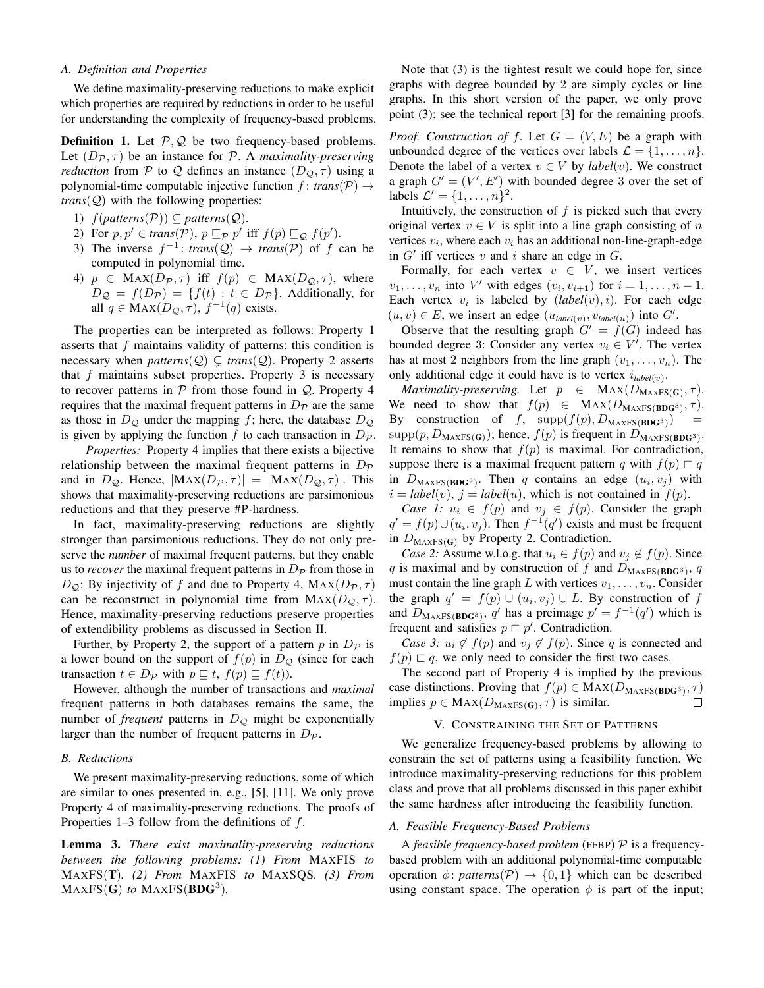# *A. Definition and Properties*

We define maximality-preserving reductions to make explicit which properties are required by reductions in order to be useful for understanding the complexity of frequency-based problems.

**Definition 1.** Let  $P, Q$  be two frequency-based problems. Let  $(D_{\mathcal{P}}, \tau)$  be an instance for P. A *maximality-preserving reduction* from P to Q defines an instance  $(D_{Q}, \tau)$  using a polynomial-time computable injective function  $f : trans(\mathcal{P}) \rightarrow$  $trans(Q)$  with the following properties:

- 1)  $f(\text{patterns}(\mathcal{P})) \subseteq \text{patterns}(\mathcal{Q})$ .
- 2) For  $p, p' \in trans(\mathcal{P})$ ,  $p \sqsubseteq_{\mathcal{P}} p'$  iff  $f(p) \sqsubseteq_{\mathcal{Q}} f(p')$ .
- 3) The inverse  $f^{-1}$ :  $trans(Q) \rightarrow trans(P)$  of f can be computed in polynomial time.
- 4)  $p \in \text{Max}(D_{\mathcal{P}}, \tau)$  iff  $f(p) \in \text{Max}(D_{\mathcal{Q}}, \tau)$ , where  $D_{\mathcal{Q}} = f(D_{\mathcal{P}}) = \{f(t) : t \in D_{\mathcal{P}}\}.$  Additionally, for all  $q \in \text{MAX}(D_{\mathcal{Q}}, \tau)$ ,  $f^{-1}(q)$  exists.

The properties can be interpreted as follows: Property 1 asserts that  $f$  maintains validity of patterns; this condition is necessary when *patterns*( $Q$ )  $\subset$  *trans*( $Q$ ). Property 2 asserts that  $f$  maintains subset properties. Property 3 is necessary to recover patterns in  $P$  from those found in  $Q$ . Property 4 requires that the maximal frequent patterns in  $D_{\mathcal{P}}$  are the same as those in  $D_{\mathcal{Q}}$  under the mapping f; here, the database  $D_{\mathcal{Q}}$ is given by applying the function f to each transaction in  $D_{\mathcal{P}}$ .

*Properties:* Property 4 implies that there exists a bijective relationship between the maximal frequent patterns in  $D_{\mathcal{P}}$ and in  $D_{\mathcal{Q}}$ . Hence,  $|MAX(D_{\mathcal{P}}, \tau)| = |MAX(D_{\mathcal{Q}}, \tau)|$ . This shows that maximality-preserving reductions are parsimonious reductions and that they preserve #P-hardness.

In fact, maximality-preserving reductions are slightly stronger than parsimonious reductions. They do not only preserve the *number* of maximal frequent patterns, but they enable us to *recover* the maximal frequent patterns in  $D_p$  from those in  $D_{\mathcal{Q}}$ : By injectivity of f and due to Property 4,  $\text{MAX}(D_{\mathcal{P}}, \tau)$ can be reconstruct in polynomial time from  $MAX(D_{Q}, \tau)$ . Hence, maximality-preserving reductions preserve properties of extendibility problems as discussed in Section II.

Further, by Property 2, the support of a pattern  $p$  in  $D_p$  is a lower bound on the support of  $f(p)$  in  $D_{\mathcal{Q}}$  (since for each transaction  $t \in D_{\mathcal{P}}$  with  $p \sqsubseteq t$ ,  $f(p) \sqsubseteq f(t)$ ).

However, although the number of transactions and *maximal* frequent patterns in both databases remains the same, the number of *frequent* patterns in  $D_{\mathcal{Q}}$  might be exponentially larger than the number of frequent patterns in  $D_{\mathcal{P}}$ .

### *B. Reductions*

We present maximality-preserving reductions, some of which are similar to ones presented in, e.g., [5], [11]. We only prove Property 4 of maximality-preserving reductions. The proofs of Properties  $1-3$  follow from the definitions of  $f$ .

Lemma 3. *There exist maximality-preserving reductions between the following problems: (1) From* MAXFIS *to* MAXFS(T)*. (2) From* MAXFIS *to* MAXSQS*. (3) From*  $MAXFS(\mathbf{G})$  to  $MAXFS(\mathbf{BDG}^3)$ .

Note that (3) is the tightest result we could hope for, since graphs with degree bounded by 2 are simply cycles or line graphs. In this short version of the paper, we only prove point (3); see the technical report [3] for the remaining proofs.

*Proof. Construction of f.* Let  $G = (V, E)$  be a graph with unbounded degree of the vertices over labels  $\mathcal{L} = \{1, \ldots, n\}.$ Denote the label of a vertex  $v \in V$  by *label* $(v)$ . We construct a graph  $G' = (V', E')$  with bounded degree 3 over the set of labels  $\mathcal{L}' = \{1, \ldots, n\}^2$ .

Intuitively, the construction of  $f$  is picked such that every original vertex  $v \in V$  is split into a line graph consisting of n vertices  $v_i$ , where each  $v_i$  has an additional non-line-graph-edge in  $G'$  iff vertices  $v$  and  $i$  share an edge in  $G$ .

Formally, for each vertex  $v \in V$ , we insert vertices  $v_1, \ldots, v_n$  into V' with edges  $(v_i, v_{i+1})$  for  $i = 1, \ldots, n-1$ . Each vertex  $v_i$  is labeled by  $(label(v), i)$ . For each edge  $(u, v) \in E$ , we insert an edge  $(u_{label(v)}, v_{label(u)})$  into G'.

Observe that the resulting graph  $G' = f(G)$  indeed has bounded degree 3: Consider any vertex  $v_i \in V'$ . The vertex has at most 2 neighbors from the line graph  $(v_1, \ldots, v_n)$ . The only additional edge it could have is to vertex  $i_{label(v)}$ .

*Maximality-preserving.* Let  $p \in \text{MAX}(D_{\text{MAXFS(G)}}, \tau)$ . We need to show that  $f(p) \in \text{MAX}(D_{\text{MAXFS(BDG^3)}}, \tau)$ . By construction of f,  $\text{supp}(f(p), D_{\text{MAXFS(BDG^3)}})$  =  $supp(p, D_{\text{MAXFS(G)}})$ ; hence,  $f(p)$  is frequent in  $D_{\text{MAXFS(BDG}^3)}$ . It remains to show that  $f(p)$  is maximal. For contradiction, suppose there is a maximal frequent pattern q with  $f(p) \sqsubset q$ in  $D_{\text{MAXFS(BDG}^3)}$ . Then q contains an edge  $(u_i, v_j)$  with  $i = label(v)$ ,  $j = label(u)$ , which is not contained in  $f(p)$ .

*Case 1:*  $u_i \in f(p)$  and  $v_j \in f(p)$ . Consider the graph  $q' = f(p) \cup (u_i, v_j)$ . Then  $f^{-1}(q')$  exists and must be frequent in  $D_{\text{MAXFS(G)}}$  by Property 2. Contradiction.

*Case 2:* Assume w.l.o.g. that  $u_i \in f(p)$  and  $v_j \notin f(p)$ . Since q is maximal and by construction of f and  $D_{\text{MAXFS(BDG}^3)}$ , q must contain the line graph L with vertices  $v_1, \ldots, v_n$ . Consider the graph  $q' = f(p) \cup (u_i, v_j) \cup L$ . By construction of f and  $D_{\text{MAXFS(BDG}^3)}$ , q' has a preimage  $p' = f^{-1}(q')$  which is frequent and satisfies  $p \sqsubset p'$ . Contradiction.

*Case 3:*  $u_i \notin f(p)$  and  $v_j \notin f(p)$ . Since q is connected and  $f(p) \sqsubset q$ , we only need to consider the first two cases.

The second part of Property 4 is implied by the previous case distinctions. Proving that  $f(p) \in \text{MAX}(D_{\text{MAXFS(BDG^3)}}, \tau)$ implies  $p \in \text{MAX}(D_{\text{MAXFS(G)}}, \tau)$  is similar.  $\Box$ 

# V. CONSTRAINING THE SET OF PATTERNS

We generalize frequency-based problems by allowing to constrain the set of patterns using a feasibility function. We introduce maximality-preserving reductions for this problem class and prove that all problems discussed in this paper exhibit the same hardness after introducing the feasibility function.

## *A. Feasible Frequency-Based Problems*

A *feasible frequency-based problem* (FFBP) P is a frequencybased problem with an additional polynomial-time computable operation  $\phi$ : *patterns*( $\mathcal{P}$ )  $\rightarrow$  {0,1} which can be described using constant space. The operation  $\phi$  is part of the input;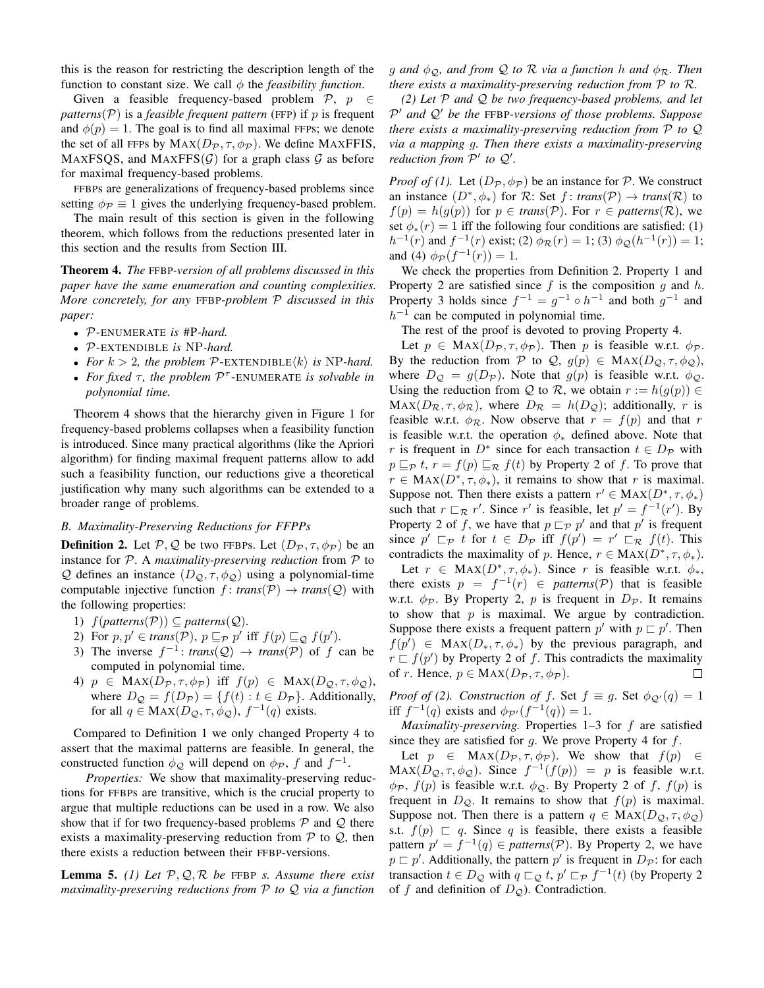this is the reason for restricting the description length of the function to constant size. We call  $\phi$  the *feasibility function*.

Given a feasible frequency-based problem  $P$ ,  $p \in$ *patterns*( $\mathcal{P}$ ) is a *feasible frequent pattern* (FFP) if  $p$  is frequent and  $\phi(p) = 1$ . The goal is to find all maximal FFPs; we denote the set of all FFPs by  $MAX(D_{\mathcal{P}}, \tau, \phi_{\mathcal{P}})$ . We define MAXFFIS, MAXFSQS, and MAXFFS $(\mathcal{G})$  for a graph class  $\mathcal{G}$  as before for maximal frequency-based problems.

FFBPs are generalizations of frequency-based problems since setting  $\phi_{\mathcal{P}} \equiv 1$  gives the underlying frequency-based problem.

The main result of this section is given in the following theorem, which follows from the reductions presented later in this section and the results from Section III.

Theorem 4. *The* FFBP*-version of all problems discussed in this paper have the same enumeration and counting complexities. More concretely, for any* FFBP*-problem* P *discussed in this paper:*

- P-ENUMERATE *is* #P*-hard.*
- P-EXTENDIBLE *is* NP*-hard.*
- *For*  $k > 2$ *, the problem*  $\mathcal{P}$ -EXTENDIBLE $\langle k \rangle$  *is* NP-*hard.*
- For fixed  $\tau$ , the problem  $\mathcal{P}^{\tau}$ -ENUMERATE is solvable in *polynomial time.*

Theorem 4 shows that the hierarchy given in Figure 1 for frequency-based problems collapses when a feasibility function is introduced. Since many practical algorithms (like the Apriori algorithm) for finding maximal frequent patterns allow to add such a feasibility function, our reductions give a theoretical justification why many such algorithms can be extended to a broader range of problems.

# *B. Maximality-Preserving Reductions for FFPPs*

**Definition 2.** Let P, Q be two FFBPs. Let  $(D_{\mathcal{P}}, \tau, \phi_{\mathcal{P}})$  be an instance for P. A *maximality-preserving reduction* from P to Q defines an instance  $(D_{Q}, \tau, \phi_{Q})$  using a polynomial-time computable injective function  $f : trans(\mathcal{P}) \rightarrow trans(\mathcal{Q})$  with the following properties:

- 1)  $f(\text{patterns}(\mathcal{P})) \subseteq \text{patterns}(\mathcal{Q})$ .
- 2) For  $p, p' \in trans(\mathcal{P}), p \sqsubseteq_{\mathcal{P}} p'$  iff  $f(p) \sqsubseteq_{\mathcal{Q}} f(p')$ .
- 3) The inverse  $f^{-1}$ :  $trans(Q) \rightarrow trans(\mathcal{P})$  of f can be computed in polynomial time.
- 4)  $p \in \text{MAX}(D_{\mathcal{P}}, \tau, \phi_{\mathcal{P}})$  iff  $f(p) \in \text{MAX}(D_{\mathcal{Q}}, \tau, \phi_{\mathcal{Q}})$ , where  $D_{\mathcal{Q}} = f(D_{\mathcal{P}}) = \{f(t) : t \in D_{\mathcal{P}}\}\)$ . Additionally, for all  $q \in \text{MAX}(D_{\mathcal{Q}}, \tau, \phi_{\mathcal{Q}}), f^{-1}(q)$  exists.

Compared to Definition 1 we only changed Property 4 to assert that the maximal patterns are feasible. In general, the constructed function  $\phi_{\mathcal{Q}}$  will depend on  $\phi_{\mathcal{P}}$ , f and  $f^{-1}$ .

*Properties:* We show that maximality-preserving reductions for FFBPs are transitive, which is the crucial property to argue that multiple reductions can be used in a row. We also show that if for two frequency-based problems  $P$  and  $Q$  there exists a maximality-preserving reduction from  $P$  to  $Q$ , then there exists a reduction between their FFBP-versions.

Lemma 5. *(1) Let* P, Q, R *be* FFBP *s. Assume there exist maximality-preserving reductions from* P *to* Q *via a function* g and  $\phi_{\mathcal{Q}}$ , and from  $\mathcal Q$  to  $\mathcal R$  *via a function* h and  $\phi_{\mathcal{R}}$ . Then *there exists a maximality-preserving reduction from* P *to* R*.*

*(2) Let* P *and* Q *be two frequency-based problems, and let*  $\mathcal{P}'$  and  $\mathcal{Q}'$  be the FFBP-versions of those problems. Suppose *there exists a maximality-preserving reduction from* P *to* Q *via a mapping* g*. Then there exists a maximality-preserving reduction from*  $P'$  to  $Q'$ .

*Proof of (1).* Let  $(D_{\mathcal{P}}, \phi_{\mathcal{P}})$  be an instance for  $\mathcal{P}$ . We construct an instance  $(D^*, \phi_*)$  for R: Set  $f: trans(\mathcal{P}) \rightarrow trans(\mathcal{R})$  to  $f(p) = h(g(p))$  for  $p \in trans(\mathcal{P})$ . For  $r \in patterns(\mathcal{R})$ , we set  $\phi_*(r) = 1$  iff the following four conditions are satisfied: (1)  $h^{-1}(r)$  and  $f^{-1}(r)$  exist; (2)  $\phi_{\mathcal{R}}(r) = 1$ ; (3)  $\phi_{\mathcal{Q}}(h^{-1}(r)) = 1$ ; and (4)  $\phi_{\mathcal{P}}(f^{-1}(r)) = 1$ .

We check the properties from Definition 2. Property 1 and Property 2 are satisfied since  $f$  is the composition  $g$  and  $h$ . Property 3 holds since  $f^{-1} = g^{-1} \circ h^{-1}$  and both  $g^{-1}$  and  $h^{-1}$  can be computed in polynomial time.

The rest of the proof is devoted to proving Property 4.

Let  $p \in \text{MAX}(D_{\mathcal{P}}, \tau, \phi_{\mathcal{P}})$ . Then p is feasible w.r.t.  $\phi_{\mathcal{P}}$ . By the reduction from P to Q,  $g(p) \in \text{MAX}(D_{\mathcal{Q}}, \tau, \phi_{\mathcal{Q}})$ , where  $D_{\mathcal{Q}} = g(D_{\mathcal{P}})$ . Note that  $g(p)$  is feasible w.r.t.  $\phi_{\mathcal{Q}}$ . Using the reduction from Q to R, we obtain  $r := h(g(p)) \in$  $\text{MAX}(D_{\mathcal{R}}, \tau, \phi_{\mathcal{R}})$ , where  $D_{\mathcal{R}} = h(D_{\mathcal{Q}})$ ; additionally, r is feasible w.r.t.  $\phi_{\mathcal{R}}$ . Now observe that  $r = f(p)$  and that r is feasible w.r.t. the operation  $\phi_*$  defined above. Note that r is frequent in  $D^*$  since for each transaction  $t \in D_{\mathcal{P}}$  with  $p \sqsubseteq_{\mathcal{P}} t$ ,  $r = f(p) \sqsubseteq_{\mathcal{R}} f(t)$  by Property 2 of f. To prove that  $r \in \text{MAX}(D^*, \tau, \phi_*)$ , it remains to show that r is maximal. Suppose not. Then there exists a pattern  $r' \in \text{MAX}(D^*, \tau, \phi_*)$ such that  $r \sqsubset_{\mathcal{R}} r'$ . Since r' is feasible, let  $p' = f^{-1}(r')$ . By Property 2 of f, we have that  $p \sqsubset_{\mathcal{P}} p'$  and that  $p'$  is frequent since  $p' \sqsubset_{\mathcal{P}} t$  for  $t \in D_{\mathcal{P}}$  iff  $f(p') = r' \sqsubset_{\mathcal{R}} f(t)$ . This contradicts the maximality of p. Hence,  $r \in \text{MAX}(D^*, \tau, \phi_*)$ .

Let  $r \in \text{MAX}(D^*, \tau, \phi_*)$ . Since r is feasible w.r.t.  $\phi_*,$ there exists  $p = f^{-1}(r) \in patterns(\mathcal{P})$  that is feasible w.r.t.  $\phi_{\mathcal{P}}$ . By Property 2, p is frequent in  $D_{\mathcal{P}}$ . It remains to show that  $p$  is maximal. We argue by contradiction. Suppose there exists a frequent pattern  $p'$  with  $p \sqsubset p'$ . Then  $f(p') \in \text{MAX}(D_*, \tau, \phi_*)$  by the previous paragraph, and  $r \sqsubset f(p')$  by Property 2 of f. This contradicts the maximality of r. Hence,  $p \in \text{MAX}(D_{\mathcal{P}}, \tau, \phi_{\mathcal{P}})$ .  $\Box$ 

*Proof of (2). Construction of f.* Set  $f \equiv g$ . Set  $\phi_{Q}(q) = 1$ iff  $f^{-1}(q)$  exists and  $\phi_{\mathcal{P}'}(f^{-1}(q)) = 1$ .

*Maximality-preserving.* Properties 1–3 for f are satisfied since they are satisfied for  $g$ . We prove Property 4 for  $f$ .

Let  $p \in \text{MAX}(D_{\mathcal{P}}, \tau, \phi_{\mathcal{P}})$ . We show that  $f(p) \in$  $\text{MAX}(D_{\mathcal{Q}}, \tau, \phi_{\mathcal{Q}})$ . Since  $f^{-1}(f(p)) = p$  is feasible w.r.t.  $\phi_{\mathcal{P}}$ ,  $f(p)$  is feasible w.r.t.  $\phi_{\mathcal{Q}}$ . By Property 2 of f,  $f(p)$  is frequent in  $D_{\mathcal{Q}}$ . It remains to show that  $f(p)$  is maximal. Suppose not. Then there is a pattern  $q \in \text{MAX}(D_{\mathcal{Q}}, \tau, \phi_{\mathcal{Q}})$ s.t.  $f(p) \sqsubset q$ . Since q is feasible, there exists a feasible pattern  $p' = f^{-1}(q) \in patterns(\mathcal{P})$ . By Property 2, we have  $p \sqsubset p'$ . Additionally, the pattern  $p'$  is frequent in  $D_{\mathcal{P}}$ : for each transaction  $t \in D_{\mathcal{Q}}$  with  $q \sqsubset_{\mathcal{Q}} t$ ,  $p' \sqsubset_{\mathcal{P}} f^{-1}(t)$  (by Property 2 of f and definition of  $D_{\mathcal{Q}}$ ). Contradiction.